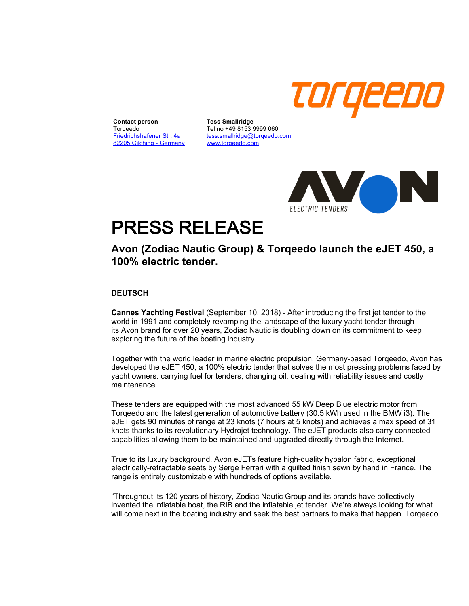

**Contact person** Torqeedo Friedrichshafener Str. 4a 82205 Gilching - Germany

**Tess Smallridge** Tel no +49 8153 9999 060 tess.smallridge@torqeedo.com www.torqeedo.com



# PRESS RELEASE

## **Avon (Zodiac Nautic Group) & Torqeedo launch the eJET 450, a 100% electric tender.**

### **DEUTSCH**

**Cannes Yachting Festival** (September 10, 2018) - After introducing the first jet tender to the world in 1991 and completely revamping the landscape of the luxury yacht tender through its Avon brand for over 20 years, Zodiac Nautic is doubling down on its commitment to keep exploring the future of the boating industry.

Together with the world leader in marine electric propulsion, Germany-based Torqeedo, Avon has developed the eJET 450, a 100% electric tender that solves the most pressing problems faced by yacht owners: carrying fuel for tenders, changing oil, dealing with reliability issues and costly maintenance.

These tenders are equipped with the most advanced 55 kW Deep Blue electric motor from Torqeedo and the latest generation of automotive battery (30.5 kWh used in the BMW i3). The eJET gets 90 minutes of range at 23 knots (7 hours at 5 knots) and achieves a max speed of 31 knots thanks to its revolutionary Hydrojet technology. The eJET products also carry connected capabilities allowing them to be maintained and upgraded directly through the Internet.

True to its luxury background, Avon eJETs feature high-quality hypalon fabric, exceptional electrically-retractable seats by Serge Ferrari with a quilted finish sewn by hand in France. The range is entirely customizable with hundreds of options available.

"Throughout its 120 years of history, Zodiac Nautic Group and its brands have collectively invented the inflatable boat, the RIB and the inflatable jet tender. We're always looking for what will come next in the boating industry and seek the best partners to make that happen. Torqeedo